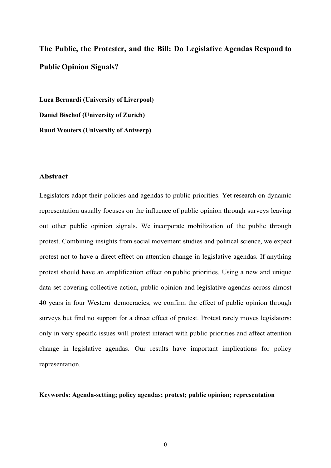**The Public, the Protester, and the Bill: Do Legislative Agendas Respond to Public Opinion Signals?**

**Luca Bernardi (University of Liverpool) Daniel Bischof (University of Zurich) Ruud Wouters (University of Antwerp)**

### **Abstract**

Legislators adapt their policies and agendas to public priorities. Yet research on dynamic representation usually focuses on the influence of public opinion through surveys leaving out other public opinion signals. We incorporate mobilization of the public through protest. Combining insights from social movement studies and political science, we expect protest not to have a direct effect on attention change in legislative agendas. If anything protest should have an amplification effect on public priorities. Using a new and unique data set covering collective action, public opinion and legislative agendas across almost 40 years in four Western democracies, we confirm the effect of public opinion through surveys but find no support for a direct effect of protest. Protest rarely moves legislators: only in very specific issues will protest interact with public priorities and affect attention change in legislative agendas. Our results have important implications for policy representation.

### **Keywords: Agenda-setting; policy agendas; protest; public opinion; representation**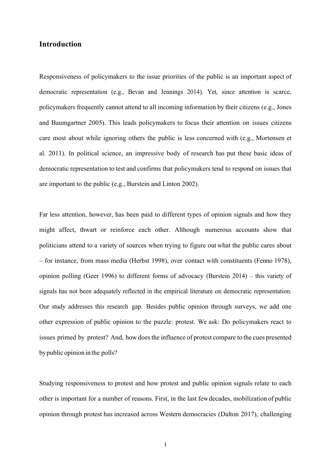# **Introduction**

Responsiveness of policymakers to the issue priorities of the public is an important aspect of democratic representation (e.g., Bevan and Jennings 2014). Yet, since attention is scarce, policymakers frequently cannot attend to all incoming information by their citizens (e.g., Jones and Baumgartner 2005). This leads policymakers to focus their attention on issues citizens care most about while ignoring others the public is less concerned with (e.g., Mortensen et al. 2011). In political science, an impressive body of research has put these basic ideas of democratic representation to test and confirms that policymakers tend to respond on issues that are important to the public (e.g., Burstein and Linton 2002).

Far less attention, however, has been paid to different types of opinion signals and how they might affect, thwart or reinforce each other. Although numerous accounts show that politicians attend to a variety of sources when trying to figure out what the public cares about – for instance, from mass media (Herbst 1998), over contact with constituents (Fenno 1978), opinion polling (Geer 1996) to different forms of advocacy (Burstein 2014) – this variety of signals has not been adequately reflected in the empirical literature on democratic representation. Our study addresses this research gap. Besides public opinion through surveys, we add one other expression of public opinion to the puzzle: protest. We ask: Do policymakers react to issues primed by protest? And, how doesthe influence of protest compare to the cues presented bypublic opinion in the polls?

Studying responsiveness to protest and how protest and public opinion signals relate to each other is important for a number of reasons. First, in the last fewdecades, mobilization of public opinion through protest has increased across Western democracies (Dalton 2017), challenging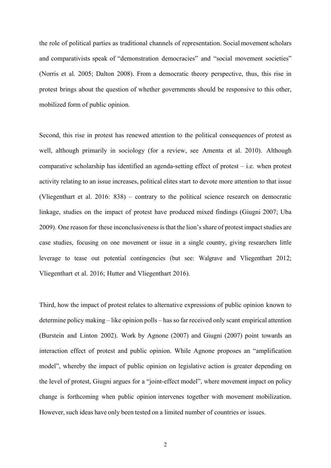the role of political parties as traditional channels of representation. Social movementscholars and comparativists speak of "demonstration democracies" and "social movement societies" (Norris et al. 2005; Dalton 2008). From a democratic theory perspective, thus, this rise in protest brings about the question of whether governments should be responsive to this other, mobilized form of public opinion.

Second, this rise in protest has renewed attention to the political consequences of protest as well, although primarily in sociology (for a review, see Amenta et al. 2010). Although comparative scholarship has identified an agenda-setting effect of protest – i.e. when protest activity relating to an issue increases, political elites start to devote more attention to that issue (Vliegenthart et al. 2016: 838) – contrary to the political science research on democratic linkage, studies on the impact of protest have produced mixed findings (Giugni 2007; Uba 2009). One reason for these inconclusiveness is that the lion's share of protest impact studies are case studies, focusing on one movement or issue in a single country, giving researchers little leverage to tease out potential contingencies (but see: Walgrave and Vliegenthart 2012; Vliegenthart et al. 2016; Hutter and Vliegenthart 2016).

Third, how the impact of protest relates to alternative expressions of public opinion known to determine policy making – like opinion polls – has so far received only scant empirical attention (Burstein and Linton 2002). Work by Agnone (2007) and Giugni (2007) point towards an interaction effect of protest and public opinion. While Agnone proposes an "amplification model", whereby the impact of public opinion on legislative action is greater depending on the level of protest, Giugni argues for a "joint-effect model", where movement impact on policy change is forthcoming when public opinion intervenes together with movement mobilization. However, such ideas have only been tested on a limited number of countries or issues.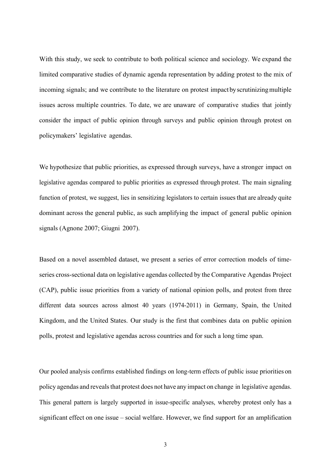With this study, we seek to contribute to both political science and sociology. We expand the limited comparative studies of dynamic agenda representation by adding protest to the mix of incoming signals; and we contribute to the literature on protest impact by scrutinizing multiple issues across multiple countries. To date, we are unaware of comparative studies that jointly consider the impact of public opinion through surveys and public opinion through protest on policymakers' legislative agendas.

We hypothesize that public priorities, as expressed through surveys, have a stronger impact on legislative agendas compared to public priorities as expressed through protest. The main signaling function of protest, we suggest, lies in sensitizing legislators to certain issuesthat are already quite dominant across the general public, as such amplifying the impact of general public opinion signals (Agnone 2007; Giugni 2007).

Based on a novel assembled dataset, we present a series of error correction models of timeseries cross-sectional data on legislative agendas collected by the Comparative Agendas Project (CAP), public issue priorities from a variety of national opinion polls, and protest from three different data sources across almost 40 years (1974-2011) in Germany, Spain, the United Kingdom, and the United States. Our study is the first that combines data on public opinion polls, protest and legislative agendas across countries and for such a long time span.

Our pooled analysis confirms established findings on long-term effects of public issue priorities on policy agendas and reveals that protest does not have any impact on change in legislative agendas. This general pattern is largely supported in issue-specific analyses, whereby protest only has a significant effect on one issue – social welfare. However, we find support for an amplification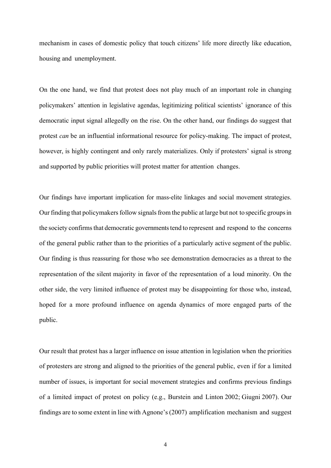mechanism in cases of domestic policy that touch citizens' life more directly like education, housing and unemployment.

On the one hand, we find that protest does not play much of an important role in changing policymakers' attention in legislative agendas, legitimizing political scientists' ignorance of this democratic input signal allegedly on the rise. On the other hand, our findings do suggest that protest *can* be an influential informational resource for policy-making. The impact of protest, however, is highly contingent and only rarely materializes. Only if protesters' signal is strong and supported by public priorities will protest matter for attention changes.

Our findings have important implication for mass-elite linkages and social movement strategies. Our finding that policymakers follow signals from the public at large but not to specific groups in the society confirms that democratic governments tend to represent and respond to the concerns of the general public rather than to the priorities of a particularly active segment of the public. Our finding is thus reassuring for those who see demonstration democracies as a threat to the representation of the silent majority in favor of the representation of a loud minority. On the other side, the very limited influence of protest may be disappointing for those who, instead, hoped for a more profound influence on agenda dynamics of more engaged parts of the public.

Our result that protest has a larger influence on issue attention in legislation when the priorities of protesters are strong and aligned to the priorities of the general public, even if for a limited number of issues, is important for social movement strategies and confirms previous findings of a limited impact of protest on policy (e.g., Burstein and Linton 2002; Giugni 2007). Our findings are to some extent in line with Agnone's(2007) amplification mechanism and suggest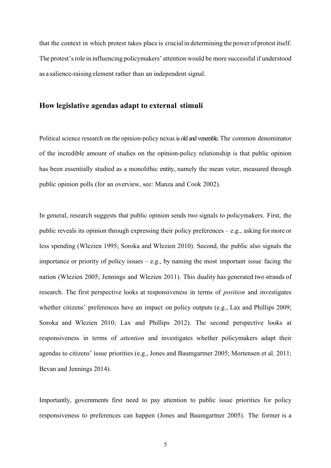that the context in which protest takes place is crucial in determining the power of protest itself. The protest'srole in influencing policymakers' attention would be more successful if understood as a salience-raising element rather than an independent signal.

### **How legislative agendas adapt to external stimuli**

Political science research on the opinion-policy nexus is old and venerable. The common denominator of the incredible amount of studies on the opinion-policy relationship is that public opinion has been essentially studied as a monolithic entity, namely the mean voter, measured through public opinion polls (for an overview, see: Manza and Cook 2002).

In general, research suggests that public opinion sends two signals to policymakers. First, the public reveals its opinion through expressing their policy preferences – e.g., asking for more or less spending (Wlezien 1995; Soroka and Wlezien 2010). Second, the public also signals the importance or priority of policy issues  $-e.g.,$  by naming the most important issue facing the nation (Wlezien 2005; Jennings and Wlezien 2011). This duality has generated two strands of research. The first perspective looks at responsiveness in terms of *position* and investigates whether citizens' preferences have an impact on policy outputs (e.g., Lax and Phillips 2009; Soroka and Wlezien 2010; Lax and Phillips 2012). The second perspective looks at responsiveness in terms of *attention* and investigates whether policymakers adapt their agendas to citizens' issue priorities (e.g., Jones and Baumgartner 2005; Mortensen et al. 2011; Bevan and Jennings 2014).

Importantly, governments first need to pay attention to public issue priorities for policy responsiveness to preferences can happen (Jones and Baumgartner 2005). The former is a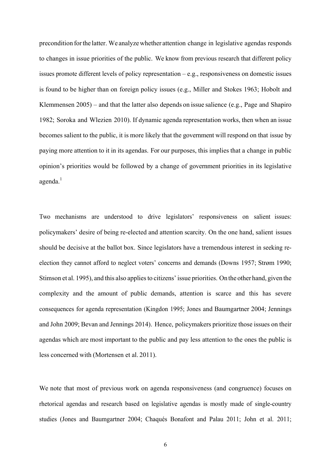precondition forthe latter. We analyzewhether attention change in legislative agendas responds to changes in issue priorities of the public. We know from previous research that different policy issues promote different levels of policy representation – e.g., responsiveness on domestic issues is found to be higher than on foreign policy issues (e.g., Miller and Stokes 1963; Hobolt and Klemmensen 2005) – and that the latter also depends on issue salience (e.g., Page and Shapiro 1982; Soroka and Wlezien 2010). If dynamic agenda representation works, then when an issue becomes salient to the public, it is more likely that the government will respond on that issue by paying more attention to it in its agendas. For our purposes, this implies that a change in public opinion's priorities would be followed by a change of government priorities in its legislative agenda.<sup>1</sup>

Two mechanisms are understood to drive legislators' responsiveness on salient issues: policymakers' desire of being re-elected and attention scarcity. On the one hand, salient issues should be decisive at the ballot box. Since legislators have a tremendous interest in seeking reelection they cannot afford to neglect voters' concerns and demands (Downs 1957; Strøm 1990; Stimson et al. 1995), and this also appliesto citizens'issue priorities. On the other hand, given the complexity and the amount of public demands, attention is scarce and this has severe consequences for agenda representation (Kingdon 1995; Jones and Baumgartner 2004; Jennings and John 2009; Bevan and Jennings 2014). Hence, policymakers prioritize those issues on their agendas which are most important to the public and pay less attention to the ones the public is less concerned with (Mortensen et al. 2011).

We note that most of previous work on agenda responsiveness (and congruence) focuses on rhetorical agendas and research based on legislative agendas is mostly made of single-country studies (Jones and Baumgartner 2004; Chaqués Bonafont and Palau 2011; John et al. 2011;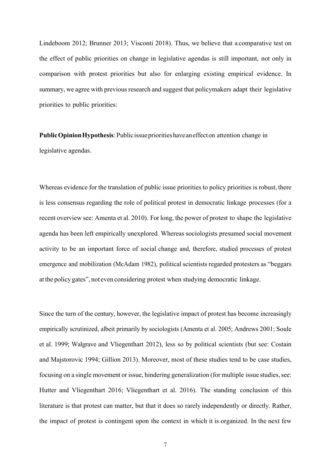Lindeboom 2012; Brunner 2013; Visconti 2018). Thus, we believe that a comparative test on the effect of public priorities on change in legislative agendas is still important, not only in comparison with protest priorities but also for enlarging existing empirical evidence. In summary, we agree with previous research and suggest that policymakers adapt their legislative priorities to public priorities:

**PublicOpinionHypothesis**: Publicissueprioritieshaveaneffecton attention change in legislative agendas.

Whereas evidence for the translation of public issue priorities to policy priorities is robust, there is less consensus regarding the role of political protest in democratic linkage processes (for a recent overview see: Amenta et al. 2010). For long, the power of protest to shape the legislative agenda has been left empirically unexplored. Whereas sociologists presumed social movement activity to be an important force of social change and, therefore, studied processes of protest emergence and mobilization (McAdam 1982), political scientists regarded protesters as "beggars at the policy gates", not even considering protest when studying democratic linkage.

Since the turn of the century, however, the legislative impact of protest has become increasingly empirically scrutinized, albeit primarily by sociologists (Amenta et al. 2005; Andrews 2001; Soule et al. 1999; Walgrave and Vliegenthart 2012), less so by political scientists (but see: Costain and Majstorovic 1994; Gillion 2013). Moreover, most of these studies tend to be case studies, focusing on a single movement or issue, hindering generalization (for multiple issue studies, see: Hutter and Vliegenthart 2016; Vliegenthart et al. 2016). The standing conclusion of this literature is that protest can matter, but that it does so rarely independently or directly. Rather, the impact of protest is contingent upon the context in which it is organized. In the next few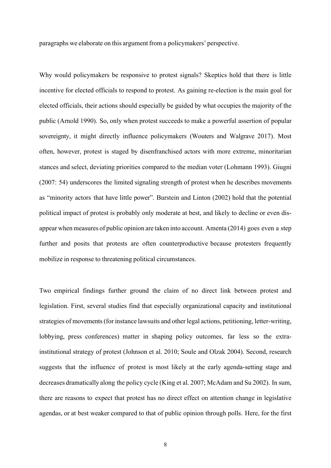paragraphs we elaborate on this argument from a policymakers' perspective.

Why would policymakers be responsive to protest signals? Skeptics hold that there is little incentive for elected officials to respond to protest. As gaining re-election is the main goal for elected officials, their actions should especially be guided by what occupies the majority of the public (Arnold 1990). So, only when protest succeeds to make a powerful assertion of popular sovereignty, it might directly influence policymakers (Wouters and Walgrave 2017). Most often, however, protest is staged by disenfranchised actors with more extreme, minoritarian stances and select, deviating priorities compared to the median voter (Lohmann 1993). Giugni (2007: 54) underscores the limited signaling strength of protest when he describes movements as "minority actors that have little power". Burstein and Linton (2002) hold that the potential political impact of protest is probably only moderate at best, and likely to decline or even disappear when measures of public opinion are taken into account. Amenta (2014) goes even a step further and posits that protests are often counterproductive because protesters frequently mobilize in response to threatening political circumstances.

Two empirical findings further ground the claim of no direct link between protest and legislation. First, several studies find that especially organizational capacity and institutional strategies of movements(for instance lawsuits and other legal actions, petitioning, letter-writing, lobbying, press conferences) matter in shaping policy outcomes, far less so the extrainstitutional strategy of protest (Johnson et al. 2010; Soule and Olzak 2004). Second, research suggests that the influence of protest is most likely at the early agenda-setting stage and decreases dramatically along the policy cycle (King et al. 2007; McAdam and Su 2002). In sum, there are reasons to expect that protest has no direct effect on attention change in legislative agendas, or at best weaker compared to that of public opinion through polls. Here, for the first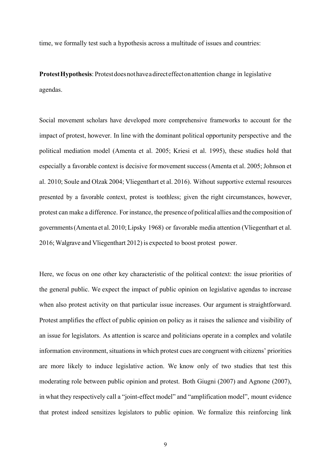time, we formally test such a hypothesis across a multitude of issues and countries:

**ProtestHypothesis**: Protestdoesnothaveadirecteffectonattention change in legislative agendas.

Social movement scholars have developed more comprehensive frameworks to account for the impact of protest, however. In line with the dominant political opportunity perspective and the political mediation model (Amenta et al. 2005; Kriesi et al. 1995), these studies hold that especially a favorable context is decisive formovement success (Amenta et al. 2005; Johnson et al. 2010; Soule and Olzak 2004; Vliegenthart et al. 2016). Without supportive external resources presented by a favorable context, protest is toothless; given the right circumstances, however, protest can make a difference. Forinstance, the presence of political allies and the composition of governments(Amenta et al. 2010;Lipsky 1968) or favorable media attention (Vliegenthart et al. 2016; Walgrave and Vliegenthart 2012) is expected to boost protest power.

Here, we focus on one other key characteristic of the political context: the issue priorities of the general public. We expect the impact of public opinion on legislative agendas to increase when also protest activity on that particular issue increases. Our argument is straightforward. Protest amplifies the effect of public opinion on policy as it raises the salience and visibility of an issue for legislators. As attention is scarce and politicians operate in a complex and volatile information environment, situations in which protest cues are congruent with citizens' priorities are more likely to induce legislative action. We know only of two studies that test this moderating role between public opinion and protest. Both Giugni (2007) and Agnone (2007), in what they respectively call a "joint-effect model" and "amplification model", mount evidence that protest indeed sensitizes legislators to public opinion. We formalize this reinforcing link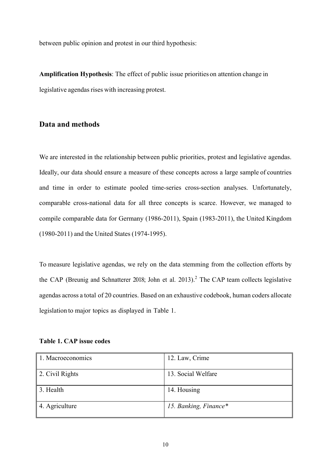between public opinion and protest in our third hypothesis:

**Amplification Hypothesis**: The effect of public issue priorities on attention change in legislative agendas rises with increasing protest.

## **Data and methods**

We are interested in the relationship between public priorities, protest and legislative agendas. Ideally, our data should ensure a measure of these concepts across a large sample of countries and time in order to estimate pooled time-series cross-section analyses. Unfortunately, comparable cross-national data for all three concepts is scarce. However, we managed to compile comparable data for Germany (1986-2011), Spain (1983-2011), the United Kingdom (1980-2011) and the United States (1974-1995).

To measure legislative agendas, we rely on the data stemming from the collection efforts by the CAP (Breunig and Schnatterer 2018; John et al. 2013).<sup>2</sup> The CAP team collects legislative agendas across a total of 20 countries. Based on an exhaustive codebook, human coders allocate legislation to major topics as displayed in Table 1.

| <b>Table 1. CAP issue codes</b> |
|---------------------------------|
|---------------------------------|

| 1. Macroeconomics | 12. Law, Crime        |
|-------------------|-----------------------|
| 2. Civil Rights   | 13. Social Welfare    |
| 3. Health         | 14. Housing           |
| 4. Agriculture    | 15. Banking, Finance* |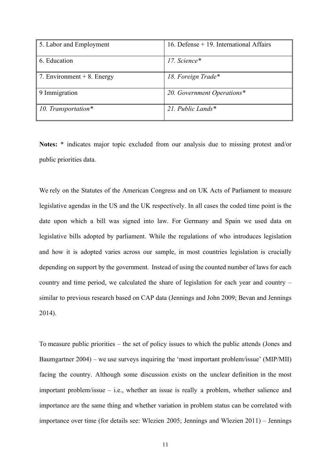| 5. Labor and Employment      | 16. Defense $+$ 19. International Affairs |
|------------------------------|-------------------------------------------|
| 6. Education                 | 17. Science*                              |
| 7. Environment $+8$ . Energy | 18. Foreign Trade*                        |
| 9 Immigration                | 20. Government Operations*                |
| 10. Transportation*          | 21. Public Lands $*$                      |

**Notes:** \* indicates major topic excluded from our analysis due to missing protest and/or public priorities data.

We rely on the Statutes of the American Congress and on UK Acts of Parliament to measure legislative agendas in the US and the UK respectively. In all cases the coded time point is the date upon which a bill was signed into law. For Germany and Spain we used data on legislative bills adopted by parliament. While the regulations of who introduces legislation and how it is adopted varies across our sample, in most countries legislation is crucially depending on support by the government. Instead of using the counted number of laws for each country and time period, we calculated the share of legislation for each year and country – similar to previous research based on CAP data (Jennings and John 2009; Bevan and Jennings 2014).

To measure public priorities – the set of policy issues to which the public attends (Jones and Baumgartner 2004) – we use surveys inquiring the 'most important problem/issue' (MIP/MII) facing the country. Although some discussion exists on the unclear definition in the most important problem/issue – i.e., whether an issue is really a problem, whether salience and importance are the same thing and whether variation in problem status can be correlated with importance over time (for details see: Wlezien 2005; Jennings and Wlezien 2011) – Jennings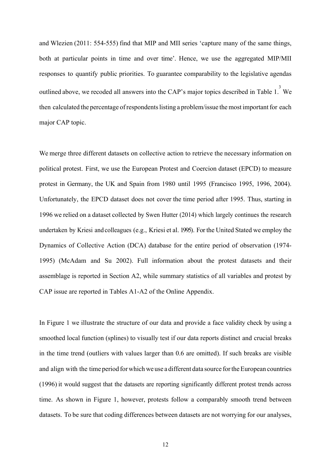and Wlezien (2011: 554-555) find that MIP and MII series 'capture many of the same things, both at particular points in time and over time'. Hence, we use the aggregated MIP/MII responses to quantify public priorities. To guarantee comparability to the legislative agendas outlined above, we recoded all answers into the CAP's major topics described in Table 1. We then calculated the percentage of respondents listing a problem/issue the most important for each major CAP topic.

We merge three different datasets on collective action to retrieve the necessary information on political protest. First, we use the European Protest and Coercion dataset (EPCD) to measure protest in Germany, the UK and Spain from 1980 until 1995 (Francisco 1995, 1996, 2004). Unfortunately, the EPCD dataset does not cover the time period after 1995. Thus, starting in 1996 we relied on a dataset collected by Swen Hutter (2014) which largely continues the research undertaken by Kriesi and colleagues (e.g., Kriesi et al. 1995). Forthe United Stated we employ the Dynamics of Collective Action (DCA) database for the entire period of observation (1974- 1995) (McAdam and Su 2002). Full information about the protest datasets and their assemblage is reported in Section A2, while summary statistics of all variables and protest by CAP issue are reported in Tables A1-A2 of the Online Appendix.

In Figure 1 we illustrate the structure of our data and provide a face validity check by using a smoothed local function (splines) to visually test if our data reports distinct and crucial breaks in the time trend (outliers with values larger than 0.6 are omitted). If such breaks are visible and align with the time period for which we use a different data source for the European countries (1996) it would suggest that the datasets are reporting significantly different protest trends across time. As shown in Figure 1, however, protests follow a comparably smooth trend between datasets. To be sure that coding differences between datasets are not worrying for our analyses,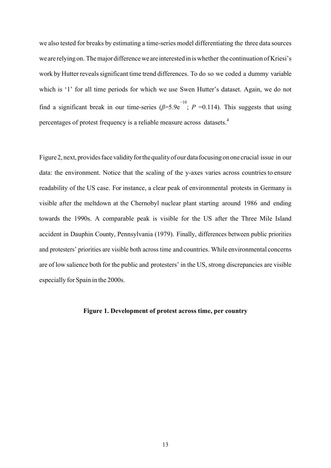we also tested for breaks by estimating a time-series model differentiating the three data sources weare relying on. Themajor differenceweare interested in iswhether the continuation of Kriesi's work by Hutter reveals significant time trend differences. To do so we coded a dummy variable which is '1' for all time periods for which we use Swen Hutter's dataset. Again, we do not find a significant break in our time-series ( $\beta$ =5.9e<sup>-10</sup>; *P* =0.114). This suggests that using percentages of protest frequency is a reliable measure across datasets.<sup>4</sup>

Figure 2, next, provides face validity for the quality of our data focusing on one crucial issue in our data: the environment. Notice that the scaling of the y-axes varies across countriesto ensure readability of the US case. For instance, a clear peak of environmental protests in Germany is visible after the meltdown at the Chernobyl nuclear plant starting around 1986 and ending towards the 1990s. A comparable peak is visible for the US after the Three Mile Island accident in Dauphin County, Pennsylvania (1979). Finally, differences between public priorities and protesters' priorities are visible both across time and countries. While environmental concerns are of low salience both for the public and protesters' in the US, strong discrepancies are visible especially for Spain in the 2000s.

#### **Figure 1. Development of protest across time, per country**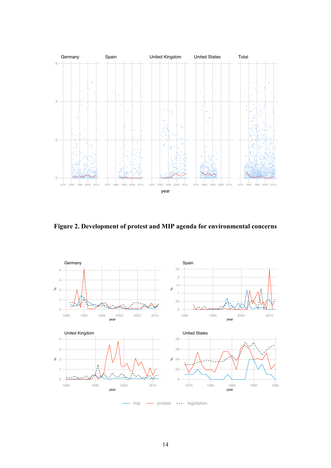

**Figure 2. Development of protest and MIP agenda for environmental concerns**

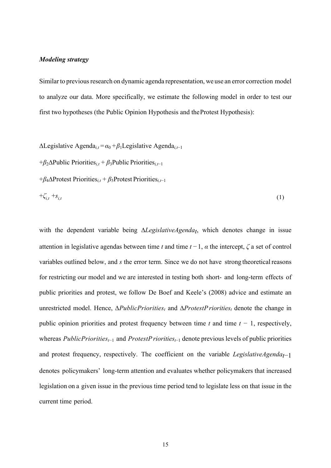#### *Modeling strategy*

Similar to previous research on dynamic agenda representation, we use an error correction model to analyze our data. More specifically, we estimate the following model in order to test our first two hypotheses (the Public Opinion Hypothesis and theProtest Hypothesis):

∆Legislative Agenda*i,t* =*α*<sup>0</sup> +*β*1Legislative Agenda*i,t*−<sup>1</sup>

+*β*2∆Public Priorities*i,t* + *β*3Public Priorities*i,t*−<sup>1</sup>

+*β*4∆Protest Priorities*i,t* + *β*5Protest Priorities*i,t*−<sup>1</sup>

$$
+\zeta_{i,t} + s_{i,t} \tag{1}
$$

with the dependent variable being ∆*LegislativeAgenda<sub>t</sub>*, which denotes change in issue attention in legislative agendas between time *t* and time  $t-1$ ,  $\alpha$  the intercept,  $\zeta$  a set of control variables outlined below, and *s* the error term. Since we do not have strong theoretical reasons for restricting our model and we are interested in testing both short- and long-term effects of public priorities and protest, we follow De Boef and Keele's (2008) advice and estimate an unrestricted model. Hence, ∆*PublicPriorities<sub>t</sub>* and ∆*ProtestPriorities<sub>t</sub>* denote the change in public opinion priorities and protest frequency between time  $t$  and time  $t - 1$ , respectively, whereas *PublicPriorities<sub>t−1</sub>* and *ProtestPriorities<sub>t−1</sub>* denote previous levels of public priorities and protest frequency, respectively. The coefficient on the variable *LegislativeAgenda<sub>t</sub>*−1 denotes policymakers' long-term attention and evaluates whether policymakers that increased legislation on a given issue in the previous time period tend to legislate less on that issue in the current time period.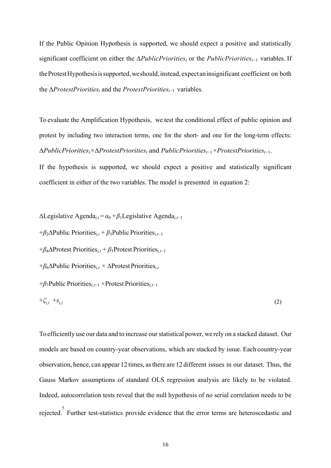If the Public Opinion Hypothesis is supported, we should expect a positive and statistically significant coefficient on either the *ΔPublicPriorities<sub>t</sub>* or the *PublicPriorities<sub>t</sub>*−1 variables. If the Protest Hypothesis is supported, we should, instead, expectan insignificant coefficient on both the ∆*ProtestPriorities<sub>t</sub>* and the *ProtestPriorities<sub>t−1</sub>* variables.

To evaluate the Amplification Hypothesis, we test the conditional effect of public opinion and protest by including two interaction terms, one for the short- and one for the long-term effects:  $\Delta \text{PublicPriority}_t \times \Delta \text{ProtestPriority}_t$  and  $\text{PublicPriority}_{t-1} \times \text{ProtestPriority}_{t-1}$ .

If the hypothesis is supported, we should expect a positive and statistically significant coefficient in either of the two variables. The model is presented in equation 2:

 $ΔLegislative Agenda<sub>i,t</sub> = α<sub>0</sub> + β<sub>1</sub>Legislative Agenda<sub>i,t−1</sub>$ 

+*β*2∆Public Priorities*i,t* + *β*3Public Priorities*i,t*−<sup>1</sup>

+*β*4∆Protest Priorities*i,t* + *β*5Protest Priorities*i,t*−<sup>1</sup>

+*β*6∆Public Priorities*i,t ×* ∆ProtestPriorities*i,t*

+*β*7Public Priorities*i,t*−1*×*Protest Priorities*i,t*−<sup>1</sup>

$$
+\zeta_{i,t} + s_{i,t} \tag{2}
$$

To efficiently use our data and to increase ourstatistical power, we rely on a stacked dataset. Our models are based on country-year observations, which are stacked by issue. Each country-year observation, hence, can appear 12 times, asthere are 12 different issues in our dataset. Thus, the Gauss Markov assumptions of standard OLS regression analysis are likely to be violated. Indeed, autocorrelation tests reveal that the null hypothesis of no serial correlation needs to be rejected. Further test-statistics provide evidence that the error terms are heteroscedastic and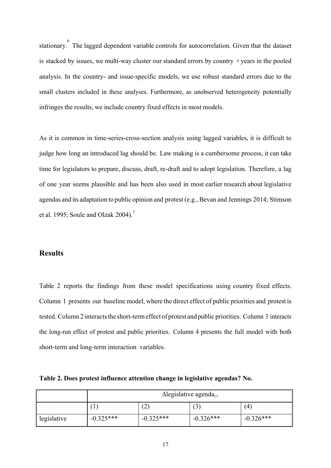stationary. <sup>6</sup> The lagged dependent variable controls for autocorrelation. Given that the dataset is stacked by issues, we multi-way cluster our standard errors by country *×*years in the pooled analysis. In the country- and issue-specific models, we use robust standard errors due to the small clusters included in these analyses. Furthermore, as unobserved heterogeneity potentially infringes the results, we include country fixed effects in most models.

As it is common in time-series-cross-section analysis using lagged variables, it is difficult to judge how long an introduced lag should be. Law making is a cumbersome process, it can take time for legislators to prepare, discuss, draft, re-draft and to adopt legislation. Therefore, a lag of one year seems plausible and has been also used in most earlier research about legislative agendas and its adaptation to public opinion and protest (e.g., Bevan and Jennings 2014; Stimson et al. 1995; Soule and Olzak 2004).<sup>7</sup>

# **Results**

Table 2 reports the findings from these model specifications using country fixed effects. Column 1 presents our baseline model, where the direct effect of public priorities and protest is tested. Column 2 interacts the short-term effect of protest and public priorities. Column 3 interacts the long-run effect of protest and public priorities. Column 4 presents the full model with both short-term and long-term interaction variables.

**Table 2. Does protest influence attention change in legislative agendas? No.**

|             | $\Delta$ legislative agenda <sub>i,t</sub> |             |             |             |
|-------------|--------------------------------------------|-------------|-------------|-------------|
|             |                                            | ∽           | ٮ           | (4)         |
| legislative | $-0.325***$                                | $-0.325***$ | $-0.326***$ | $-0.326***$ |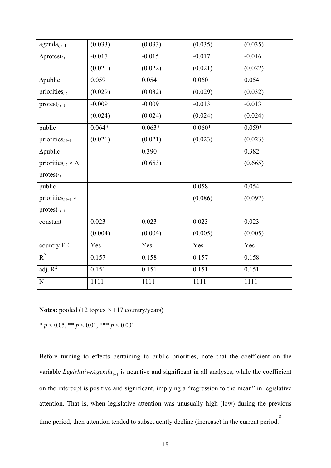| $agenda_{i,t-1}$                                  | (0.033)  | (0.033)  | (0.035)  | (0.035)  |
|---------------------------------------------------|----------|----------|----------|----------|
| $\Delta$ protest <sub>i,t</sub>                   | $-0.017$ | $-0.015$ | $-0.017$ | $-0.016$ |
|                                                   | (0.021)  | (0.022)  | (0.021)  | (0.022)  |
| ∆public                                           | 0.059    | 0.054    | 0.060    | 0.054    |
| priorities $_{i,t}$                               | (0.029)  | (0.032)  | (0.029)  | (0.032)  |
| $protest_{i,t-1}$                                 | $-0.009$ | $-0.009$ | $-0.013$ | $-0.013$ |
|                                                   | (0.024)  | (0.024)  | (0.024)  | (0.024)  |
| public                                            | $0.064*$ | $0.063*$ | $0.060*$ | $0.059*$ |
| priorities $_{i,t-1}$                             | (0.021)  | (0.021)  | (0.023)  | (0.023)  |
| ∆public                                           |          | 0.390    |          | 0.382    |
| priorities <sub><i>i,t</i></sub> $\times \Delta$  |          | (0.653)  |          | (0.665)  |
| $protest_{i,t}$                                   |          |          |          |          |
| public                                            |          |          | 0.058    | 0.054    |
| priorities <sub><i>i</i>,<math>t-1</math></sub> × |          |          | (0.086)  | (0.092)  |
| $protest_{i,t-1}$                                 |          |          |          |          |
| constant                                          | 0.023    | 0.023    | 0.023    | 0.023    |
|                                                   | (0.004)  | (0.004)  | (0.005)  | (0.005)  |
| country FE                                        | Yes      | Yes      | Yes      | Yes      |
| $R^2$                                             | 0.157    | 0.158    | 0.157    | 0.158    |
| adj. $R^2$                                        | 0.151    | 0.151    | 0.151    | 0.151    |
| ${\bf N}$                                         | 1111     | 1111     | 1111     | 1111     |

**Notes:** pooled (12 topics *×* 117 country/years)

\*  $p < 0.05$ , \*\*  $p < 0.01$ , \*\*\*  $p < 0.001$ 

Before turning to effects pertaining to public priorities, note that the coefficient on the variable *LegislativeAgenda<sub>t-1</sub>* is negative and significant in all analyses, while the coefficient on the intercept is positive and significant, implying a "regression to the mean" in legislative attention. That is, when legislative attention was unusually high (low) during the previous time period, then attention tended to subsequently decline (increase) in the current period.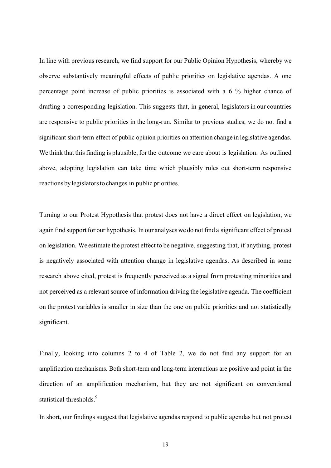In line with previous research, we find support for our Public Opinion Hypothesis, whereby we observe substantively meaningful effects of public priorities on legislative agendas. A one percentage point increase of public priorities is associated with a 6 % higher chance of drafting a corresponding legislation. This suggests that, in general, legislatorsin our countries are responsive to public priorities in the long-run. Similar to previous studies, we do not find a significant short-term effect of public opinion priorities on attention change in legislative agendas. We think that this finding is plausible, for the outcome we care about is legislation. As outlined above, adopting legislation can take time which plausibly rules out short-term responsive reactions bylegislatorsto changes in public priorities.

Turning to our Protest Hypothesis that protest does not have a direct effect on legislation, we again find support for our hypothesis. In our analyses we do not find a significant effect of protest on legislation. We estimate the protest effect to be negative, suggesting that, if anything, protest is negatively associated with attention change in legislative agendas. As described in some research above cited, protest is frequently perceived as a signal from protesting minorities and not perceived as a relevant source of information driving the legislative agenda. The coefficient on the protest variables is smaller in size than the one on public priorities and not statistically significant.

Finally, looking into columns 2 to 4 of Table 2, we do not find any support for an amplification mechanisms. Both short-term and long-term interactions are positive and point in the direction of an amplification mechanism, but they are not significant on conventional statistical thresholds.<sup>9</sup>

In short, our findings suggest that legislative agendas respond to public agendas but not protest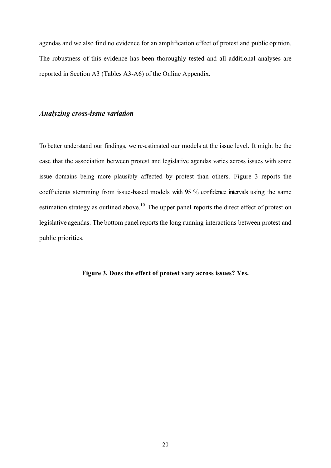agendas and we also find no evidence for an amplification effect of protest and public opinion. The robustness of this evidence has been thoroughly tested and all additional analyses are reported in Section A3 (Tables A3-A6) of the Online Appendix.

## *Analyzing cross-issue variation*

To better understand our findings, we re-estimated our models at the issue level. It might be the case that the association between protest and legislative agendas varies across issues with some issue domains being more plausibly affected by protest than others. Figure 3 reports the coefficients stemming from issue-based models with 95 % confidence intervals using the same estimation strategy as outlined above.<sup>10</sup> The upper panel reports the direct effect of protest on legislative agendas. The bottom panel reports the long running interactions between protest and public priorities.

**Figure 3. Does the effect of protest vary across issues? Yes.**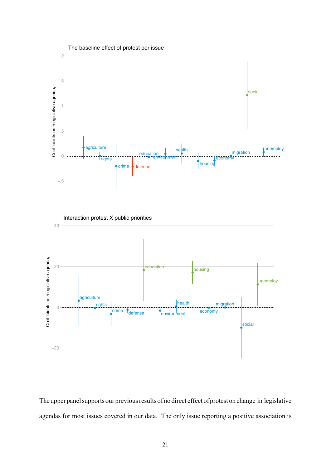

The upper panel supports our previous results of no direct effect of protest on change in legislative agendas for most issues covered in our data. The only issue reporting a positive association is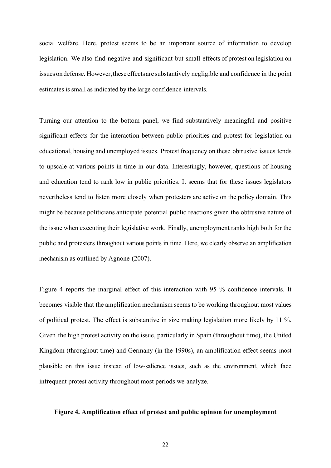social welfare. Here, protest seems to be an important source of information to develop legislation. We also find negative and significant but small effects of protest on legislation on issues on defense. However, these effects are substantively negligible and confidence in the point estimates is small as indicated by the large confidence intervals.

Turning our attention to the bottom panel, we find substantively meaningful and positive significant effects for the interaction between public priorities and protest for legislation on educational, housing and unemployed issues. Protest frequency on these obtrusive issues tends to upscale at various points in time in our data. Interestingly, however, questions of housing and education tend to rank low in public priorities. It seems that for these issues legislators nevertheless tend to listen more closely when protesters are active on the policy domain. This might be because politicians anticipate potential public reactions given the obtrusive nature of the issue when executing their legislative work. Finally, unemployment ranks high both for the public and protesters throughout various points in time. Here, we clearly observe an amplification mechanism as outlined by Agnone (2007).

Figure 4 reports the marginal effect of this interaction with 95 % confidence intervals. It becomes visible that the amplification mechanism seems to be working throughout most values of political protest. The effect is substantive in size making legislation more likely by 11 %. Given the high protest activity on the issue, particularly in Spain (throughout time), the United Kingdom (throughout time) and Germany (in the 1990s), an amplification effect seems most plausible on this issue instead of low-salience issues, such as the environment, which face infrequent protest activity throughout most periods we analyze.

### **Figure 4. Amplification effect of protest and public opinion for unemployment**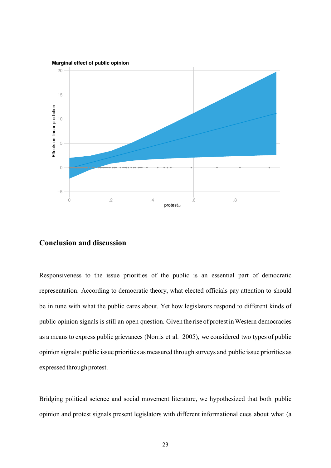

# **Conclusion and discussion**

Responsiveness to the issue priorities of the public is an essential part of democratic representation. According to democratic theory, what elected officials pay attention to should be in tune with what the public cares about. Yet how legislators respond to different kinds of public opinion signals is still an open question. Given the rise of protest inWestern democracies as a means to express public grievances (Norris et al. 2005), we considered two types of public opinion signals: public issue priorities as measured through surveys and public issue priorities as expressed through protest.

Bridging political science and social movement literature, we hypothesized that both public opinion and protest signals present legislators with different informational cues about what (a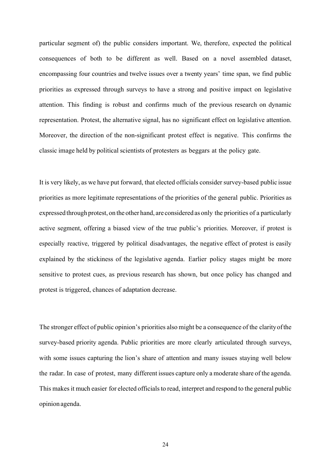particular segment of) the public considers important. We, therefore, expected the political consequences of both to be different as well. Based on a novel assembled dataset, encompassing four countries and twelve issues over a twenty years' time span, we find public priorities as expressed through surveys to have a strong and positive impact on legislative attention. This finding is robust and confirms much of the previous research on dynamic representation. Protest, the alternative signal, has no significant effect on legislative attention. Moreover, the direction of the non-significant protest effect is negative. This confirms the classic image held by political scientists of protesters as beggars at the policy gate.

It is very likely, as we have put forward, that elected officials consider survey-based public issue priorities as more legitimate representations of the priorities of the general public. Priorities as expressed through protest, on the other hand, are considered as only the priorities of a particularly active segment, offering a biased view of the true public's priorities. Moreover, if protest is especially reactive, triggered by political disadvantages, the negative effect of protest is easily explained by the stickiness of the legislative agenda. Earlier policy stages might be more sensitive to protest cues, as previous research has shown, but once policy has changed and protest is triggered, chances of adaptation decrease.

The stronger effect of public opinion's priorities also might be a consequence of the clarityofthe survey-based priority agenda. Public priorities are more clearly articulated through surveys, with some issues capturing the lion's share of attention and many issues staying well below the radar. In case of protest, many different issues capture only a moderate share of the agenda. This makes it much easier for elected officials to read, interpret and respond to the general public opinion agenda.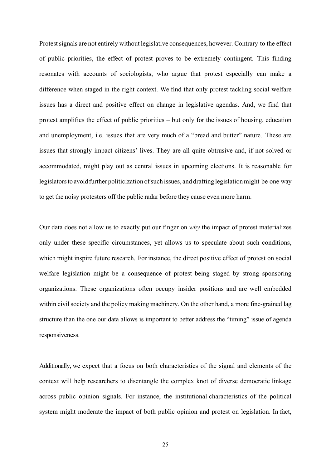Protest signals are not entirely without legislative consequences, however. Contrary to the effect of public priorities, the effect of protest proves to be extremely contingent. This finding resonates with accounts of sociologists, who argue that protest especially can make a difference when staged in the right context. We find that only protest tackling social welfare issues has a direct and positive effect on change in legislative agendas. And, we find that protest amplifies the effect of public priorities – but only for the issues of housing, education and unemployment, i.e. issues that are very much of a "bread and butter" nature. These are issues that strongly impact citizens' lives. They are all quite obtrusive and, if not solved or accommodated, might play out as central issues in upcoming elections. It is reasonable for legislators to avoid further politicization of such issues, and drafting legislation might be one way to get the noisy protesters off the public radar before they cause even more harm.

Our data does not allow us to exactly put our finger on *why* the impact of protest materializes only under these specific circumstances, yet allows us to speculate about such conditions, which might inspire future research. For instance, the direct positive effect of protest on social welfare legislation might be a consequence of protest being staged by strong sponsoring organizations. These organizations often occupy insider positions and are well embedded within civil society and the policy making machinery. On the other hand, a more fine-grained lag structure than the one our data allows is important to better address the "timing" issue of agenda responsiveness.

Additionally, we expect that a focus on both characteristics of the signal and elements of the context will help researchers to disentangle the complex knot of diverse democratic linkage across public opinion signals. For instance, the institutional characteristics of the political system might moderate the impact of both public opinion and protest on legislation. In fact,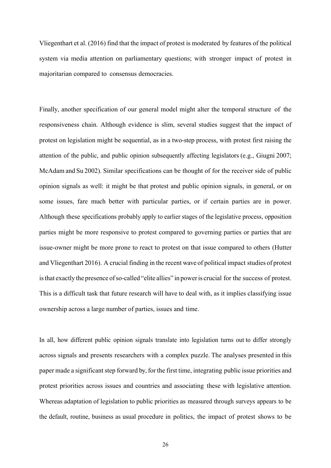Vliegenthart et al. (2016) find that the impact of protest is moderated by features of the political system via media attention on parliamentary questions; with stronger impact of protest in majoritarian compared to consensus democracies.

Finally, another specification of our general model might alter the temporal structure of the responsiveness chain. Although evidence is slim, several studies suggest that the impact of protest on legislation might be sequential, as in a two-step process, with protest first raising the attention of the public, and public opinion subsequently affecting legislators (e.g., Giugni 2007; McAdam and Su 2002). Similar specifications can be thought of for the receiver side of public opinion signals as well: it might be that protest and public opinion signals, in general, or on some issues, fare much better with particular parties, or if certain parties are in power. Although these specifications probably apply to earlier stages of the legislative process, opposition parties might be more responsive to protest compared to governing parties or parties that are issue-owner might be more prone to react to protest on that issue compared to others (Hutter and Vliegenthart 2016). A crucial finding in the recent wave of political impact studies of protest isthat exactly the presence ofso-called "elite allies" in poweris crucial for the success of protest. This is a difficult task that future research will have to deal with, as it implies classifying issue ownership across a large number of parties, issues and time.

In all, how different public opinion signals translate into legislation turns out to differ strongly across signals and presents researchers with a complex puzzle. The analyses presented in this paper made a significant step forward by, for the first time, integrating public issue priorities and protest priorities across issues and countries and associating these with legislative attention. Whereas adaptation of legislation to public priorities as measured through surveys appears to be the default, routine, business as usual procedure in politics, the impact of protest shows to be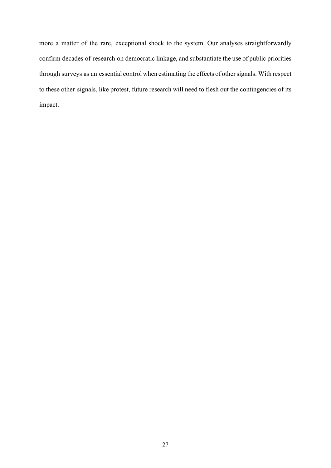more a matter of the rare, exceptional shock to the system. Our analyses straightforwardly confirm decades of research on democratic linkage, and substantiate the use of public priorities through surveys as an essential control when estimating the effects of othersignals. With respect to these other signals, like protest, future research will need to flesh out the contingencies of its impact.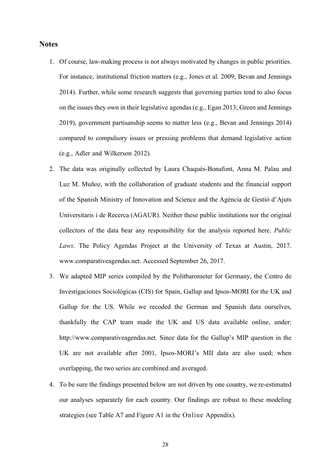### **Notes**

- 1. Of course, law-making process is not always motivated by changes in public priorities. For instance, institutional friction matters (e.g., Jones et al. 2009; Bevan and Jennings 2014). Further, while some research suggests that governing parties tend to also focus on the issues they own in their legislative agendas (e.g., Egan 2013; Green and Jennings 2019), government partisanship seems to matter less (e.g., Bevan and Jennings 2014) compared to compulsory issues or pressing problems that demand legislative action (e.g., Adler and Wilkerson 2012).
- 2. The data was originally collected by Laura Chaqués-Bonafont, Anna M. Palau and Luz M. Muñoz, with the collaboration of graduate students and the financial support of the Spanish Ministry of Innovation and Science and the Agència de Gestió d'Ajuts Universitaris i de Recerca (AGAUR). Neither these public institutions nor the original collectors of the data bear any responsibility for the analysis reported here. *Public Laws*. The Policy Agendas Project at the University of Texas at Austin, 2017. www.comparativeagendas.net. Accessed September 26, 2017.
- 3. We adapted MIP series compiled by the Politbarometer for Germany, the Centro de Investigaciones Sociológicas (CIS) for Spain, Gallup and Ipsos-MORI for the UK and Gallup for the US. While we recoded the German and Spanish data ourselves, thankfully the CAP team made the UK and US data available online, under: http://www.comparativeagendas.net. Since data for the Gallup's MIP question in the UK are not available after 2001, Ipsos-MORI's MII data are also used; when overlapping, the two series are combined and averaged.
- 4. To be sure the findings presented below are not driven by one country, we re-estimated our analyses separately for each country. Our findings are robust to these modeling strategies (see Table A7 and Figure A1 in the Online Appendix).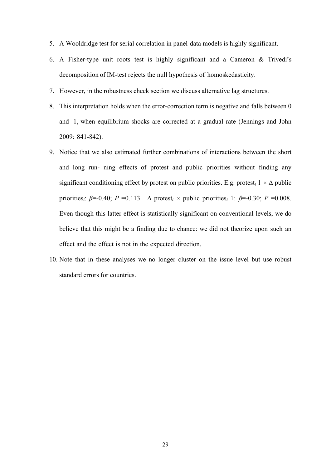- 5. A Wooldridge test for serial correlation in panel-data models is highly significant.
- 6. A Fisher-type unit roots test is highly significant and a Cameron & Trivedi's decomposition of IM-test rejects the null hypothesis of homoskedasticity.
- 7. However, in the robustness check section we discuss alternative lag structures.
- 8. This interpretation holds when the error-correction term is negative and falls between 0 and -1, when equilibrium shocks are corrected at a gradual rate (Jennings and John 2009: 841-842).
- 9. Notice that we also estimated further combinations of interactions between the short and long run- ning effects of protest and public priorities without finding any significant conditioning effect by protest on public priorities. E.g. protest<sub> $t$ </sub> 1  $\times$   $\Delta$  public priorities<sub>*i*</sub>: *β*=-0.40; *P* =0.113.  $\Delta$  protest<sub>*t*</sub>  $\times$  public priorities<sub>*t*</sub> 1: *β*=-0.30; *P* =0.008. Even though this latter effect is statistically significant on conventional levels, we do believe that this might be a finding due to chance: we did not theorize upon such an effect and the effect is not in the expected direction.
- 10. Note that in these analyses we no longer cluster on the issue level but use robust standard errors for countries.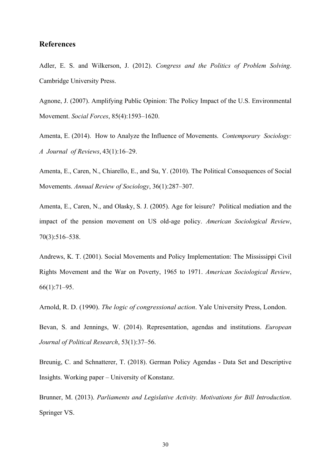# **References**

Adler, E. S. and Wilkerson, J. (2012). *Congress and the Politics of Problem Solving*. Cambridge University Press.

Agnone, J. (2007). Amplifying Public Opinion: The Policy Impact of the U.S. Environmental Movement. *Social Forces*, 85(4):1593–1620.

Amenta, E. (2014). How to Analyze the Influence of Movements. *Contemporary Sociology: A Journal of Reviews*, 43(1):16–29.

Amenta, E., Caren, N., Chiarello, E., and Su, Y. (2010). The Political Consequences of Social Movements. *Annual Review of Sociology*, 36(1):287–307.

Amenta, E., Caren, N., and Olasky, S. J. (2005). Age for leisure? Political mediation and the impact of the pension movement on US old-age policy. *American Sociological Review*, 70(3):516–538.

Andrews, K. T. (2001). Social Movements and Policy Implementation: The Mississippi Civil Rights Movement and the War on Poverty, 1965 to 1971. *American Sociological Review*, 66(1):71–95.

Arnold, R. D. (1990). *The logic of congressional action*. Yale University Press, London.

Bevan, S. and Jennings, W. (2014). Representation, agendas and institutions. *European Journal of Political Research*, 53(1):37–56.

Breunig, C. and Schnatterer, T. (2018). German Policy Agendas - Data Set and Descriptive Insights. Working paper – University of Konstanz.

Brunner, M. (2013). *Parliaments and Legislative Activity. Motivations for Bill Introduction*. Springer VS.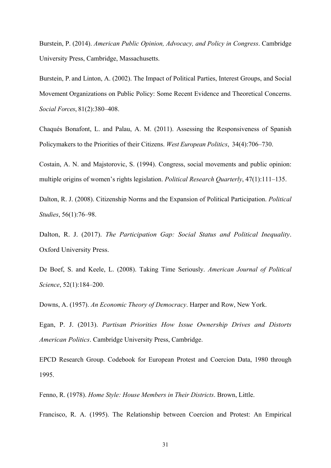Burstein, P. (2014). *American Public Opinion, Advocacy, and Policy in Congress*. Cambridge University Press, Cambridge, Massachusetts.

Burstein, P. and Linton, A. (2002). The Impact of Political Parties, Interest Groups, and Social Movement Organizations on Public Policy: Some Recent Evidence and Theoretical Concerns. *Social Forces*, 81(2):380–408.

Chaqués Bonafont, L. and Palau, A. M. (2011). Assessing the Responsiveness of Spanish Policymakers to the Priorities of their Citizens. *West European Politics*, 34(4):706–730.

Costain, A. N. and Majstorovic, S. (1994). Congress, social movements and public opinion: multiple origins of women's rights legislation. *Political Research Quarterly*, 47(1):111–135.

Dalton, R. J. (2008). Citizenship Norms and the Expansion of Political Participation. *Political Studies*, 56(1):76–98.

Dalton, R. J. (2017). *The Participation Gap: Social Status and Political Inequality*. Oxford University Press.

De Boef, S. and Keele, L. (2008). Taking Time Seriously. *American Journal of Political Science*, 52(1):184–200.

Downs, A. (1957). *An Economic Theory of Democracy*. Harper and Row, New York.

Egan, P. J. (2013). *Partisan Priorities How Issue Ownership Drives and Distorts American Politics*. Cambridge University Press, Cambridge.

EPCD Research Group. Codebook for European Protest and Coercion Data, 1980 through 1995.

Fenno, R. (1978). *Home Style: House Members in Their Districts*. Brown, Little.

Francisco, R. A. (1995). The Relationship between Coercion and Protest: An Empirical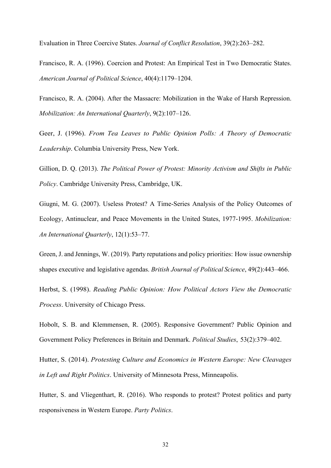Evaluation in Three Coercive States. *Journal of Conflict Resolution*, 39(2):263–282.

Francisco, R. A. (1996). Coercion and Protest: An Empirical Test in Two Democratic States. *American Journal of Political Science*, 40(4):1179–1204.

Francisco, R. A. (2004). After the Massacre: Mobilization in the Wake of Harsh Repression. *Mobilization: An International Quarterly*, 9(2):107–126.

Geer, J. (1996). *From Tea Leaves to Public Opinion Polls: A Theory of Democratic Leadership*. Columbia University Press, New York.

Gillion, D. Q. (2013). *The Political Power of Protest: Minority Activism and Shifts in Public Policy*. Cambridge University Press, Cambridge, UK.

Giugni, M. G. (2007). Useless Protest? A Time-Series Analysis of the Policy Outcomes of Ecology, Antinuclear, and Peace Movements in the United States, 1977-1995. *Mobilization: An International Quarterly*, 12(1):53–77.

Green, J. and Jennings, W. (2019). Party reputations and policy priorities: How issue ownership shapes executive and legislative agendas. *British Journal of Political Science*, 49(2):443–466.

Herbst, S. (1998). *Reading Public Opinion: How Political Actors View the Democratic Process*. University of Chicago Press.

Hobolt, S. B. and Klemmensen, R. (2005). Responsive Government? Public Opinion and Government Policy Preferences in Britain and Denmark. *Political Studies*, 53(2):379–402.

Hutter, S. (2014). *Protesting Culture and Economics in Western Europe: New Cleavages in Left and Right Politics*. University of Minnesota Press, Minneapolis.

Hutter, S. and Vliegenthart, R. (2016). Who responds to protest? Protest politics and party responsiveness in Western Europe. *Party Politics*.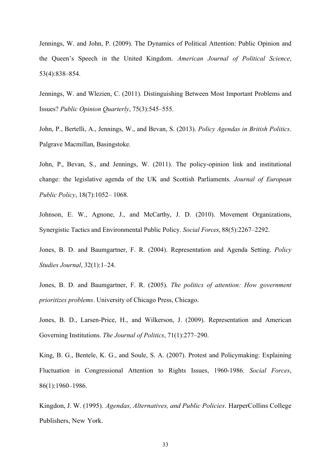Jennings, W. and John, P. (2009). The Dynamics of Political Attention: Public Opinion and the Queen's Speech in the United Kingdom. *American Journal of Political Science*, 53(4):838–854.

Jennings, W. and Wlezien, C. (2011). Distinguishing Between Most Important Problems and Issues? *Public Opinion Quarterly*, 75(3):545–555.

John, P., Bertelli, A., Jennings, W., and Bevan, S. (2013). *Policy Agendas in British Politics*. Palgrave Macmillan, Basingstoke.

John, P., Bevan, S., and Jennings, W. (2011). The policy-opinion link and institutional change: the legislative agenda of the UK and Scottish Parliaments. *Journal of European Public Policy*, 18(7):1052– 1068.

Johnson, E. W., Agnone, J., and McCarthy, J. D. (2010). Movement Organizations, Synergistic Tactics and Environmental Public Policy. *Social Forces*, 88(5):2267–2292.

Jones, B. D. and Baumgartner, F. R. (2004). Representation and Agenda Setting. *Policy Studies Journal*, 32(1):1–24.

Jones, B. D. and Baumgartner, F. R. (2005). *The politics of attention: How government prioritizes problems*. University of Chicago Press, Chicago.

Jones, B. D., Larsen-Price, H., and Wilkerson, J. (2009). Representation and American Governing Institutions. *The Journal of Politics*, 71(1):277–290.

King, B. G., Bentele, K. G., and Soule, S. A. (2007). Protest and Policymaking: Explaining Fluctuation in Congressional Attention to Rights Issues, 1960-1986. *Social Forces*, 86(1):1960–1986.

Kingdon, J. W. (1995). *Agendas, Alternatives, and Public Policies*. HarperCollins College Publishers, New York.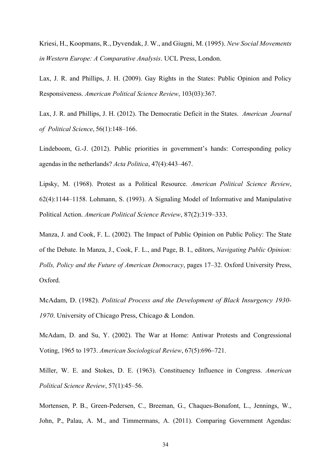Kriesi, H., Koopmans, R., Dyvendak, J. W., and Giugni, M. (1995). *New Social Movements in Western Europe: A Comparative Analysis*. UCL Press, London.

Lax, J. R. and Phillips, J. H. (2009). Gay Rights in the States: Public Opinion and Policy Responsiveness. *American Political Science Review*, 103(03):367.

Lax, J. R. and Phillips, J. H. (2012). The Democratic Deficit in the States. *American Journal of Political Science*, 56(1):148–166.

Lindeboom, G.-J. (2012). Public priorities in government's hands: Corresponding policy agendasin the netherlands? *Acta Politica*, 47(4):443–467.

Lipsky, M. (1968). Protest as a Political Resource. *American Political Science Review*, 62(4):1144–1158. Lohmann, S. (1993). A Signaling Model of Informative and Manipulative Political Action. *American Political Science Review*, 87(2):319–333.

Manza, J. and Cook, F. L. (2002). The Impact of Public Opinion on Public Policy: The State of the Debate. In Manza, J., Cook, F. L., and Page, B. I., editors, *Navigating Public Opinion: Polls, Policy and the Future of American Democracy*, pages 17–32. Oxford University Press, Oxford.

McAdam, D. (1982). *Political Process and the Development of Black Insurgency 1930- 1970*. University of Chicago Press, Chicago & London.

McAdam, D. and Su, Y. (2002). The War at Home: Antiwar Protests and Congressional Voting, 1965 to 1973. *American Sociological Review*, 67(5):696–721.

Miller, W. E. and Stokes, D. E. (1963). Constituency Influence in Congress. *American Political Science Review*, 57(1):45–56.

Mortensen, P. B., Green-Pedersen, C., Breeman, G., Chaques-Bonafont, L., Jennings, W., John, P., Palau, A. M., and Timmermans, A. (2011). Comparing Government Agendas: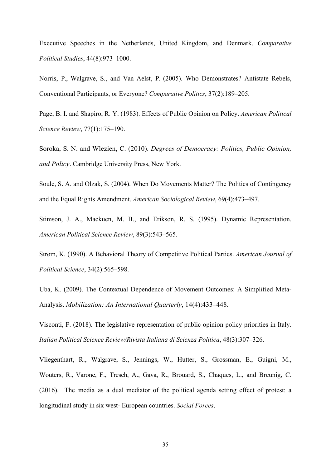Executive Speeches in the Netherlands, United Kingdom, and Denmark. *Comparative Political Studies*, 44(8):973–1000.

Norris, P., Walgrave, S., and Van Aelst, P. (2005). Who Demonstrates? Antistate Rebels, Conventional Participants, or Everyone? *Comparative Politics*, 37(2):189–205.

Page, B. I. and Shapiro, R. Y. (1983). Effects of Public Opinion on Policy. *American Political Science Review*, 77(1):175–190.

Soroka, S. N. and Wlezien, C. (2010). *Degrees of Democracy: Politics, Public Opinion, and Policy*. Cambridge University Press, New York.

Soule, S. A. and Olzak, S. (2004). When Do Movements Matter? The Politics of Contingency and the Equal Rights Amendment. *American Sociological Review*, 69(4):473–497.

Stimson, J. A., Mackuen, M. B., and Erikson, R. S. (1995). Dynamic Representation. *American Political Science Review*, 89(3):543–565.

Strøm, K. (1990). A Behavioral Theory of Competitive Political Parties. *American Journal of Political Science*, 34(2):565–598.

Uba, K. (2009). The Contextual Dependence of Movement Outcomes: A Simplified Meta-Analysis. *Mobilization: An International Quarterly*, 14(4):433–448.

Visconti, F. (2018). The legislative representation of public opinion policy priorities in Italy. *Italian Political Science Review/Rivista Italiana di Scienza Politica*, 48(3):307–326.

Vliegenthart, R., Walgrave, S., Jennings, W., Hutter, S., Grossman, E., Guigni, M., Wouters, R., Varone, F., Tresch, A., Gava, R., Brouard, S., Chaques, L., and Breunig, C. (2016). The media as a dual mediator of the political agenda setting effect of protest: a longitudinal study in six west- European countries. *Social Forces*.